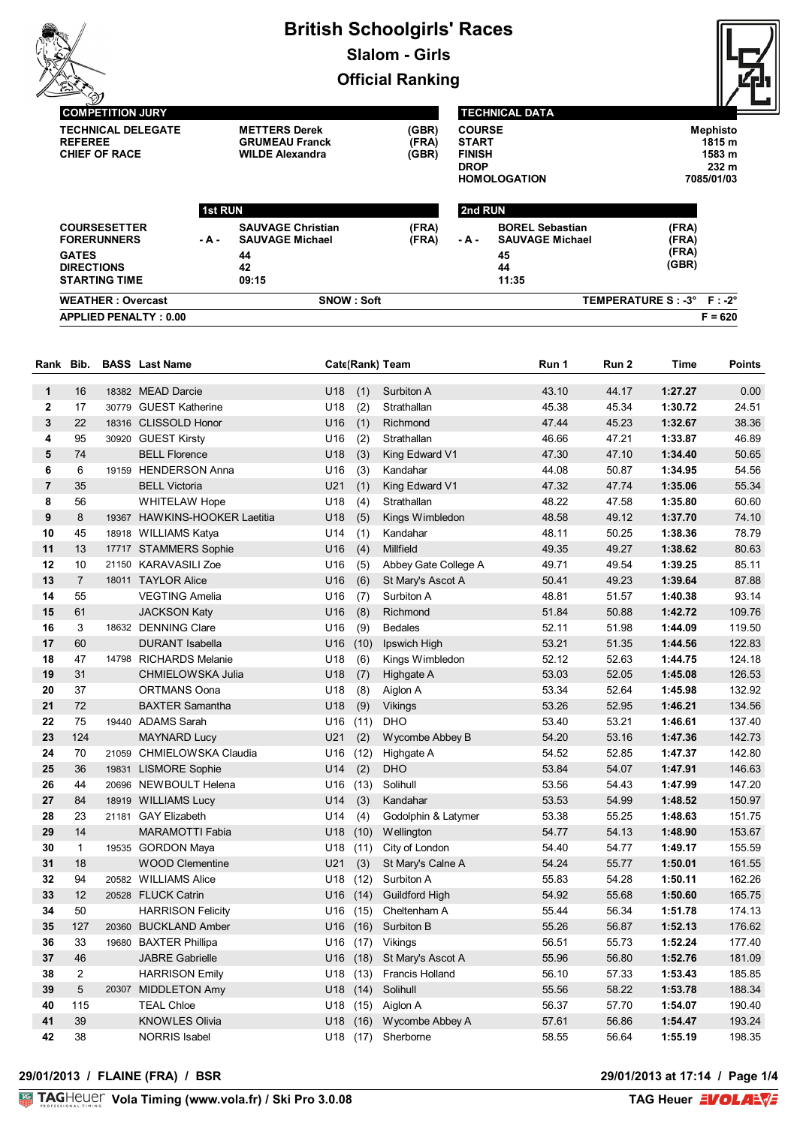# **British Schoolgirls' Races Slalom - Girls**

**Official Ranking**



**COMPETITION JURY TECHNICAL DELEGATE METTERS Derek (GBR) REFEREE GRUMEAU Franck**<br> **CHIEF OF RACE WILDE Alexandra** 

 $WILDE$  Alexandra

#### **TECHNICAL DATA**

| (GBR) | <b>COURSE</b>       | Mephisto         |
|-------|---------------------|------------------|
| (FRA) | <b>START</b>        | 1815 m           |
| (GBR) | <b>FINISH</b>       | 1583 m           |
|       | <b>DROP</b>         | 232 <sub>m</sub> |
|       | <b>HOMOLOGATION</b> | 7085/01/03       |
|       |                     |                  |

| <b>APPLIED PENALTY: 0.00</b>                              |                |                                                    |                |         |                                                  |                | $F = 620$ |
|-----------------------------------------------------------|----------------|----------------------------------------------------|----------------|---------|--------------------------------------------------|----------------|-----------|
| <b>WEATHER: Overcast</b>                                  | SNOW : Soft    |                                                    |                |         | TEMPERATURE S : -3° F : -2°                      |                |           |
| <b>GATES</b><br><b>DIRECTIONS</b><br><b>STARTING TIME</b> |                | 44<br>42<br>09:15                                  |                |         | 45<br>44<br>11:35                                | (FRA)<br>(GBR) |           |
| <b>COURSESETTER</b><br><b>FORERUNNERS</b>                 | - A -          | <b>SAUVAGE Christian</b><br><b>SAUVAGE Michael</b> | (FRA)<br>(FRA) | - A -   | <b>BOREL Sebastian</b><br><b>SAUVAGE Michael</b> | (FRA)<br>(FRA) |           |
|                                                           | <b>1st RUN</b> |                                                    |                | 2nd RUN |                                                  |                |           |

| Rank           | Bib.           |       | <b>BASS</b> Last Name         |     |      | Cate(Rank) Team        | Run 1 | Run <sub>2</sub> | <b>Time</b> | <b>Points</b> |
|----------------|----------------|-------|-------------------------------|-----|------|------------------------|-------|------------------|-------------|---------------|
| 1              | 16             |       | 18382 MEAD Darcie             | U18 | (1)  | Surbiton A             | 43.10 | 44.17            | 1:27.27     | 0.00          |
| $\mathbf 2$    | 17             |       | 30779 GUEST Katherine         | U18 | (2)  | Strathallan            | 45.38 | 45.34            | 1:30.72     | 24.51         |
| 3              | 22             |       | 18316 CLISSOLD Honor          | U16 | (1)  | Richmond               | 47.44 | 45.23            | 1:32.67     | 38.36         |
| 4              | 95             |       | 30920 GUEST Kirsty            | U16 | (2)  | Strathallan            | 46.66 | 47.21            | 1:33.87     | 46.89         |
| 5              | 74             |       | <b>BELL Florence</b>          | U18 | (3)  | King Edward V1         | 47.30 | 47.10            | 1:34.40     | 50.65         |
| 6              | 6              |       | 19159 HENDERSON Anna          | U16 | (3)  | Kandahar               | 44.08 | 50.87            | 1:34.95     | 54.56         |
| $\overline{7}$ | 35             |       | <b>BELL Victoria</b>          | U21 | (1)  | King Edward V1         | 47.32 | 47.74            | 1:35.06     | 55.34         |
| 8              | 56             |       | <b>WHITELAW Hope</b>          | U18 | (4)  | Strathallan            | 48.22 | 47.58            | 1:35.80     | 60.60         |
| 9              | 8              |       | 19367 HAWKINS-HOOKER Laetitia | U18 | (5)  | Kings Wimbledon        | 48.58 | 49.12            | 1:37.70     | 74.10         |
| 10             | 45             |       | 18918 WILLIAMS Katya          | U14 | (1)  | Kandahar               | 48.11 | 50.25            | 1:38.36     | 78.79         |
| 11             | 13             |       | 17717 STAMMERS Sophie         | U16 | (4)  | Millfield              | 49.35 | 49.27            | 1:38.62     | 80.63         |
| 12             | 10             |       | 21150 KARAVASILI Zoe          | U16 | (5)  | Abbey Gate College A   | 49.71 | 49.54            | 1:39.25     | 85.11         |
| 13             | $\overline{7}$ |       | 18011 TAYLOR Alice            | U16 | (6)  | St Mary's Ascot A      | 50.41 | 49.23            | 1:39.64     | 87.88         |
| 14             | 55             |       | <b>VEGTING Amelia</b>         | U16 | (7)  | Surbiton A             | 48.81 | 51.57            | 1:40.38     | 93.14         |
| 15             | 61             |       | <b>JACKSON Katy</b>           | U16 | (8)  | Richmond               | 51.84 | 50.88            | 1:42.72     | 109.76        |
| 16             | 3              |       | 18632 DENNING Clare           | U16 | (9)  | <b>Bedales</b>         | 52.11 | 51.98            | 1:44.09     | 119.50        |
| 17             | 60             |       | <b>DURANT</b> Isabella        | U16 | (10) | Ipswich High           | 53.21 | 51.35            | 1:44.56     | 122.83        |
| 18             | 47             | 14798 | <b>RICHARDS Melanie</b>       | U18 | (6)  | Kings Wimbledon        | 52.12 | 52.63            | 1:44.75     | 124.18        |
| 19             | 31             |       | CHMIELOWSKA Julia             | U18 | (7)  | Highgate A             | 53.03 | 52.05            | 1:45.08     | 126.53        |
| 20             | 37             |       | <b>ORTMANS Oona</b>           | U18 | (8)  | Aiglon A               | 53.34 | 52.64            | 1:45.98     | 132.92        |
| 21             | 72             |       | <b>BAXTER Samantha</b>        | U18 | (9)  | Vikings                | 53.26 | 52.95            | 1:46.21     | 134.56        |
| 22             | 75             |       | 19440 ADAMS Sarah             | U16 | (11) | <b>DHO</b>             | 53.40 | 53.21            | 1:46.61     | 137.40        |
| 23             | 124            |       | <b>MAYNARD Lucy</b>           | U21 | (2)  | Wycombe Abbey B        | 54.20 | 53.16            | 1:47.36     | 142.73        |
| 24             | 70             |       | 21059 CHMIELOWSKA Claudia     | U16 | (12) | Highgate A             | 54.52 | 52.85            | 1:47.37     | 142.80        |
| 25             | 36             |       | 19831 LISMORE Sophie          | U14 | (2)  | <b>DHO</b>             | 53.84 | 54.07            | 1:47.91     | 146.63        |
| 26             | 44             |       | 20696 NEWBOULT Helena         | U16 | (13) | Solihull               | 53.56 | 54.43            | 1:47.99     | 147.20        |
| 27             | 84             |       | 18919 WILLIAMS Lucy           | U14 | (3)  | Kandahar               | 53.53 | 54.99            | 1:48.52     | 150.97        |
| 28             | 23             |       | 21181 GAY Elizabeth           | U14 | (4)  | Godolphin & Latymer    | 53.38 | 55.25            | 1:48.63     | 151.75        |
| 29             | 14             |       | <b>MARAMOTTI Fabia</b>        | U18 | (10) | Wellington             | 54.77 | 54.13            | 1:48.90     | 153.67        |
| 30             | $\mathbf{1}$   |       | 19535 GORDON Maya             | U18 | (11) | City of London         | 54.40 | 54.77            | 1:49.17     | 155.59        |
| 31             | 18             |       | <b>WOOD Clementine</b>        | U21 | (3)  | St Mary's Calne A      | 54.24 | 55.77            | 1:50.01     | 161.55        |
| 32             | 94             |       | 20582 WILLIAMS Alice          | U18 | (12) | Surbiton A             | 55.83 | 54.28            | 1:50.11     | 162.26        |
| 33             | 12             |       | 20528 FLUCK Catrin            | U16 | (14) | <b>Guildford High</b>  | 54.92 | 55.68            | 1:50.60     | 165.75        |
| 34             | 50             |       | <b>HARRISON Felicity</b>      | U16 | (15) | Cheltenham A           | 55.44 | 56.34            | 1:51.78     | 174.13        |
| 35             | 127            |       | 20360 BUCKLAND Amber          | U16 | (16) | Surbiton B             | 55.26 | 56.87            | 1:52.13     | 176.62        |
| 36             | 33             |       | 19680 BAXTER Phillipa         | U16 | (17) | Vikings                | 56.51 | 55.73            | 1:52.24     | 177.40        |
| 37             | 46             |       | <b>JABRE Gabrielle</b>        | U16 | (18) | St Mary's Ascot A      | 55.96 | 56.80            | 1:52.76     | 181.09        |
| 38             | $\overline{2}$ |       | <b>HARRISON Emily</b>         | U18 | (13) | <b>Francis Holland</b> | 56.10 | 57.33            | 1:53.43     | 185.85        |
| 39             | 5              |       | 20307 MIDDLETON Amy           | U18 | (14) | Solihull               | 55.56 | 58.22            | 1:53.78     | 188.34        |
| 40             | 115            |       | <b>TEAL Chloe</b>             | U18 | (15) | Aiglon A               | 56.37 | 57.70            | 1:54.07     | 190.40        |
| 41             | 39             |       | <b>KNOWLES Olivia</b>         | U18 | (16) | Wycombe Abbey A        | 57.61 | 56.86            | 1:54.47     | 193.24        |
| 42             | 38             |       | <b>NORRIS Isabel</b>          |     |      | U18 (17) Sherborne     | 58.55 | 56.64            | 1:55.19     | 198.35        |

#### **29/01/2013 / FLAINE (FRA) / BSR 29/01/2013 at 17:14 / Page 1/4**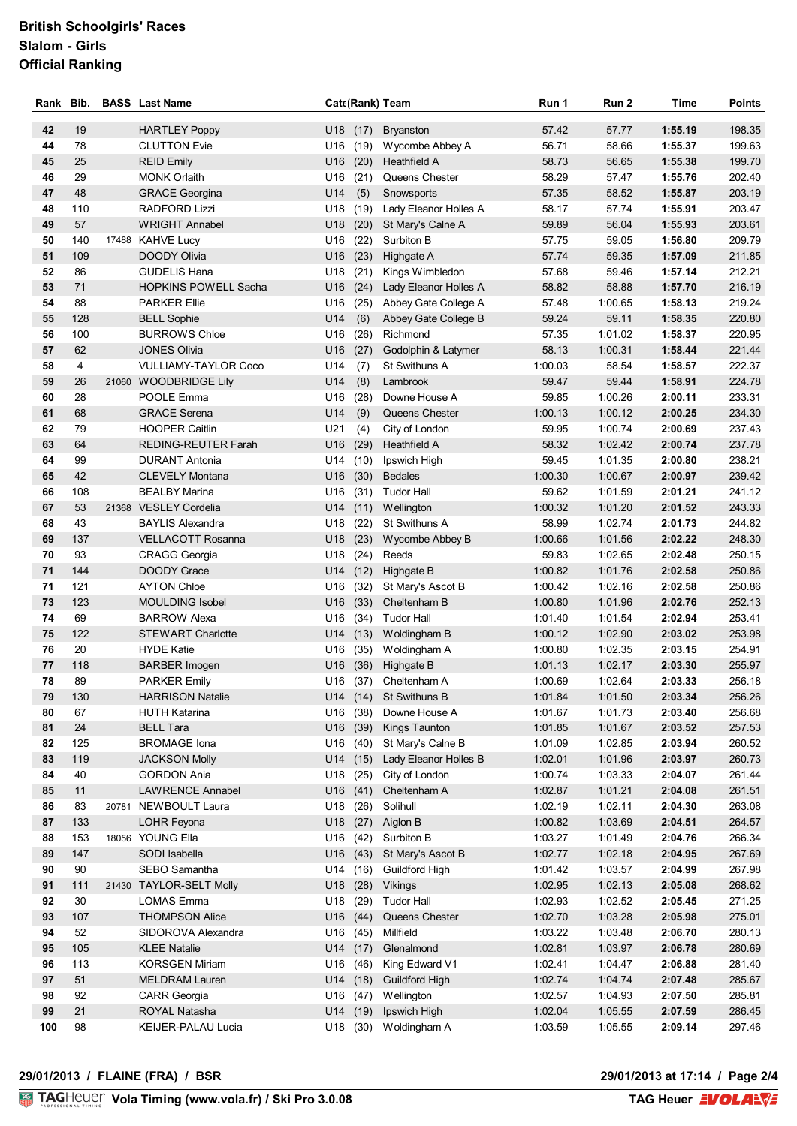# **British Schoolgirls' Races Slalom - Girls Official Ranking**

| Rank     | Bib.      |       | <b>BASS</b> Last Name                        |                   |              | Cate(Rank) Team                  | Run 1              | Run 2              | Time               | <b>Points</b>    |
|----------|-----------|-------|----------------------------------------------|-------------------|--------------|----------------------------------|--------------------|--------------------|--------------------|------------------|
| 42       | 19        |       | <b>HARTLEY Poppy</b>                         | $U18$ (17)        |              | <b>Bryanston</b>                 | 57.42              | 57.77              | 1:55.19            | 198.35           |
| 44       | 78        |       | <b>CLUTTON Evie</b>                          | U16               | (19)         | Wycombe Abbey A                  | 56.71              | 58.66              | 1:55.37            | 199.63           |
| 45       | 25        |       | <b>REID Emily</b>                            | U16               | (20)         | Heathfield A                     | 58.73              | 56.65              | 1:55.38            | 199.70           |
| 46       | 29        |       | <b>MONK Orlaith</b>                          | U16               | (21)         | Queens Chester                   | 58.29              | 57.47              | 1:55.76            | 202.40           |
| 47       | 48        |       | <b>GRACE Georgina</b>                        | U14               | (5)          | Snowsports                       | 57.35              | 58.52              | 1:55.87            | 203.19           |
| 48       | 110       |       | <b>RADFORD Lizzi</b>                         | U18               | (19)         | Lady Eleanor Holles A            | 58.17              | 57.74              | 1:55.91            | 203.47           |
| 49       | 57        |       | <b>WRIGHT Annabel</b>                        | U18               | (20)         | St Mary's Calne A                | 59.89              | 56.04              | 1:55.93            | 203.61           |
| 50       | 140       |       | 17488 KAHVE Lucy                             | U16               | (22)         | Surbiton B                       | 57.75              | 59.05              | 1:56.80            | 209.79           |
| 51       | 109       |       | <b>DOODY Olivia</b>                          | U16               | (23)         | Highgate A                       | 57.74              | 59.35              | 1:57.09            | 211.85           |
| 52       | 86        |       | <b>GUDELIS Hana</b>                          | U18               | (21)         | Kings Wimbledon                  | 57.68              | 59.46              | 1:57.14            | 212.21           |
| 53       | 71        |       | <b>HOPKINS POWELL Sacha</b>                  | U16               | (24)         | Lady Eleanor Holles A            | 58.82              | 58.88              | 1:57.70            | 216.19           |
| 54       | 88        |       | <b>PARKER Ellie</b>                          | U16               | (25)         | Abbey Gate College A             | 57.48              | 1:00.65            | 1:58.13            | 219.24           |
| 55       | 128       |       | <b>BELL Sophie</b>                           | U14               | (6)          | Abbey Gate College B             | 59.24              | 59.11              | 1:58.35            | 220.80           |
| 56       | 100       |       | <b>BURROWS Chloe</b>                         | U16               | (26)         | Richmond                         | 57.35              | 1:01.02            | 1:58.37            | 220.95           |
| 57       | 62        |       | <b>JONES Olivia</b>                          | U16               | (27)         | Godolphin & Latymer              | 58.13              | 1:00.31            | 1:58.44            | 221.44           |
| 58       | 4         |       | <b>VULLIAMY-TAYLOR Coco</b>                  | U14               | (7)          | St Swithuns A                    | 1:00.03            | 58.54              | 1:58.57            | 222.37           |
| 59       | 26        | 21060 | <b>WOODBRIDGE Lily</b>                       | U14               | (8)          | Lambrook                         | 59.47              | 59.44              | 1:58.91            | 224.78           |
| 60       | 28        |       | POOLE Emma                                   | U16               | (28)         | Downe House A                    | 59.85              | 1:00.26            | 2:00.11            | 233.31           |
| 61<br>62 | 68<br>79  |       | <b>GRACE Serena</b><br><b>HOOPER Caitlin</b> | U14<br>U21        | (9)          | Queens Chester<br>City of London | 1:00.13<br>59.95   | 1:00.12<br>1:00.74 | 2:00.25<br>2:00.69 | 234.30<br>237.43 |
| 63       | 64        |       | <b>REDING-REUTER Farah</b>                   | U16               | (4)          | Heathfield A                     | 58.32              | 1:02.42            | 2:00.74            | 237.78           |
| 64       | 99        |       | <b>DURANT Antonia</b>                        | U14               | (29)<br>(10) | Ipswich High                     | 59.45              | 1:01.35            | 2:00.80            | 238.21           |
| 65       | 42        |       | <b>CLEVELY Montana</b>                       | U16               | (30)         | <b>Bedales</b>                   | 1:00.30            | 1:00.67            | 2:00.97            | 239.42           |
| 66       | 108       |       | <b>BEALBY Marina</b>                         | U16               | (31)         | <b>Tudor Hall</b>                | 59.62              | 1:01.59            | 2:01.21            | 241.12           |
| 67       | 53        |       | 21368 VESLEY Cordelia                        | U14               | (11)         | Wellington                       | 1:00.32            | 1:01.20            | 2:01.52            | 243.33           |
| 68       | 43        |       | <b>BAYLIS Alexandra</b>                      | U18               | (22)         | St Swithuns A                    | 58.99              | 1:02.74            | 2:01.73            | 244.82           |
| 69       | 137       |       | VELLACOTT Rosanna                            | U18               | (23)         | Wycombe Abbey B                  | 1:00.66            | 1:01.56            | 2:02.22            | 248.30           |
| 70       | 93        |       | <b>CRAGG Georgia</b>                         | U18               | (24)         | Reeds                            | 59.83              | 1:02.65            | 2:02.48            | 250.15           |
| 71       | 144       |       | <b>DOODY Grace</b>                           | U14               | (12)         | Highgate B                       | 1:00.82            | 1:01.76            | 2:02.58            | 250.86           |
| 71       | 121       |       | <b>AYTON Chloe</b>                           | U16               | (32)         | St Mary's Ascot B                | 1:00.42            | 1:02.16            | 2:02.58            | 250.86           |
| 73       | 123       |       | <b>MOULDING Isobel</b>                       | U16               | (33)         | Cheltenham B                     | 1:00.80            | 1:01.96            | 2:02.76            | 252.13           |
| 74       | 69        |       | <b>BARROW Alexa</b>                          | U16               |              | (34) Tudor Hall                  | 1:01.40            | 1:01.54            | 2:02.94            | 253.41           |
| 75       | 122       |       | <b>STEWART Charlotte</b>                     |                   | $U14$ (13)   | Woldingham B                     | 1:00.12            | 1:02.90            | 2:03.02            | 253.98           |
| 76       | 20        |       | <b>HYDE Katie</b>                            | U16               |              | (35) Woldingham A                | 1:00.80            | 1:02.35            | 2:03.15            | 254 91           |
| 77       | 118       |       | <b>BARBER Imogen</b>                         | U16               | (36)         | Highgate B                       | 1:01.13            | 1:02.17            | 2:03.30            | 255.97           |
| 78       | 89        |       | <b>PARKER Emily</b>                          |                   |              | U16 (37) Cheltenham A            | 1:00.69            | 1:02.64            | 2:03.33            | 256.18           |
| 79       | 130       |       | <b>HARRISON Natalie</b>                      |                   |              | U14 (14) St Swithuns B           | 1:01.84            | 1:01.50            | 2:03.34            | 256.26           |
| 80       | 67        |       | <b>HUTH Katarina</b>                         | $U16$ (38)        |              | Downe House A                    | 1:01.67            | 1:01.73            | 2:03.40            | 256.68           |
| 81       | 24        |       | <b>BELL Tara</b>                             | U16 (39)          |              | Kings Taunton                    | 1:01.85            | 1:01.67            | 2:03.52            | 257.53           |
| 82       | 125       |       | <b>BROMAGE</b> Iona                          | U16               | (40)         | St Mary's Calne B                | 1:01.09            | 1:02.85            | 2:03.94            | 260.52           |
| 83<br>84 | 119<br>40 |       | <b>JACKSON Molly</b><br><b>GORDON Ania</b>   | $U14$ (15)<br>U18 | (25)         | Lady Eleanor Holles B            | 1:02.01<br>1:00.74 | 1:01.96<br>1:03.33 | 2:03.97<br>2:04.07 | 260.73<br>261.44 |
| 85       | 11        |       | <b>LAWRENCE Annabel</b>                      | $U16$ (41)        |              | City of London<br>Cheltenham A   | 1:02.87            | 1:01.21            | 2:04.08            | 261.51           |
| 86       | 83        | 20781 | NEWBOULT Laura                               | U18               | (26)         | Solihull                         | 1:02.19            | 1:02.11            | 2:04.30            | 263.08           |
| 87       | 133       |       | LOHR Feyona                                  | U18               | (27)         | Aiglon B                         | 1:00.82            | 1:03.69            | 2:04.51            | 264.57           |
| 88       | 153       |       | 18056 YOUNG Ella                             | $U16$ (42)        |              | Surbiton B                       | 1:03.27            | 1:01.49            | 2:04.76            | 266.34           |
| 89       | 147       |       | SODI Isabella                                | U16               | (43)         | St Mary's Ascot B                | 1:02.77            | 1:02.18            | 2:04.95            | 267.69           |
| 90       | 90        |       | SEBO Samantha                                | U14 (16)          |              | <b>Guildford High</b>            | 1:01.42            | 1:03.57            | 2:04.99            | 267.98           |
| 91       | 111       |       | 21430 TAYLOR-SELT Molly                      | U18               | (28)         | Vikings                          | 1:02.95            | 1:02.13            | 2:05.08            | 268.62           |
| 92       | 30        |       | <b>LOMAS Emma</b>                            | U18               | (29)         | <b>Tudor Hall</b>                | 1:02.93            | 1:02.52            | 2:05.45            | 271.25           |
| 93       | 107       |       | <b>THOMPSON Alice</b>                        | U16               | (44)         | Queens Chester                   | 1:02.70            | 1:03.28            | 2:05.98            | 275.01           |
| 94       | 52        |       | SIDOROVA Alexandra                           | U16               | (45)         | Millfield                        | 1:03.22            | 1:03.48            | 2:06.70            | 280.13           |
| 95       | 105       |       | <b>KLEE Natalie</b>                          | U14 (17)          |              | Glenalmond                       | 1:02.81            | 1:03.97            | 2:06.78            | 280.69           |
| 96       | 113       |       | <b>KORSGEN Miriam</b>                        | U16               | (46)         | King Edward V1                   | 1:02.41            | 1:04.47            | 2:06.88            | 281.40           |
| 97       | 51        |       | <b>MELDRAM Lauren</b>                        | $U14$ (18)        |              | <b>Guildford High</b>            | 1:02.74            | 1:04.74            | 2:07.48            | 285.67           |
| 98       | 92        |       | CARR Georgia                                 | U16               | (47)         | Wellington                       | 1:02.57            | 1:04.93            | 2:07.50            | 285.81           |
| 99       | 21        |       | ROYAL Natasha                                | $U14$ (19)        |              | Ipswich High                     | 1:02.04            | 1:05.55            | 2:07.59            | 286.45           |
| 100      | 98        |       | KEIJER-PALAU Lucia                           |                   | U18 (30)     | Woldingham A                     | 1:03.59            | 1:05.55            | 2:09.14            | 297.46           |

# **29/01/2013 / FLAINE (FRA) / BSR 29/01/2013 at 17:14 / Page 2/4**

29/01/2013 at 17:14 / Page 2/4<br>TAG Heuer **EVOLARVE**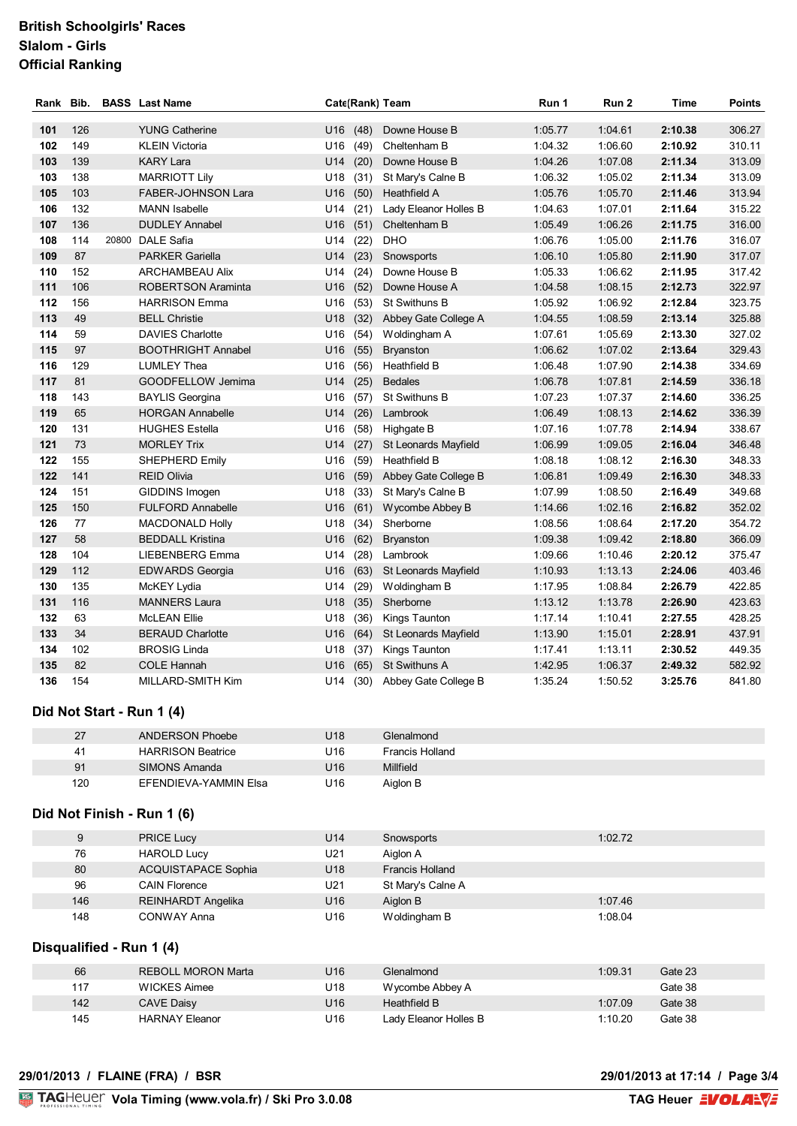## **British Schoolgirls' Races Slalom - Girls Official Ranking**

| Rank Bib. |     |       | <b>BASS</b> Last Name     | Cate(Rank) Team |      |                       | Run 1   | Run 2   | <b>Time</b> | <b>Points</b> |
|-----------|-----|-------|---------------------------|-----------------|------|-----------------------|---------|---------|-------------|---------------|
| 101       | 126 |       | <b>YUNG Catherine</b>     | U <sub>16</sub> | (48) | Downe House B         | 1:05.77 | 1:04.61 | 2:10.38     | 306.27        |
| 102       | 149 |       | <b>KLEIN Victoria</b>     | U <sub>16</sub> | (49) | Cheltenham B          | 1:04.32 | 1:06.60 | 2:10.92     | 310.11        |
| 103       | 139 |       | <b>KARY Lara</b>          | U14             | (20) | Downe House B         | 1:04.26 | 1:07.08 | 2:11.34     | 313.09        |
| 103       | 138 |       | <b>MARRIOTT Lily</b>      | U <sub>18</sub> | (31) | St Mary's Calne B     | 1:06.32 | 1:05.02 | 2:11.34     | 313.09        |
| 105       | 103 |       | <b>FABER-JOHNSON Lara</b> | U16             | (50) | Heathfield A          | 1:05.76 | 1:05.70 | 2:11.46     | 313.94        |
| 106       | 132 |       | <b>MANN</b> Isabelle      | U <sub>14</sub> | (21) | Lady Eleanor Holles B | 1:04.63 | 1:07.01 | 2:11.64     | 315.22        |
| 107       | 136 |       | <b>DUDLEY Annabel</b>     | U16             | (51) | Cheltenham B          | 1:05.49 | 1:06.26 | 2:11.75     | 316.00        |
| 108       | 114 | 20800 | <b>DALE Safia</b>         | U <sub>14</sub> | (22) | <b>DHO</b>            | 1:06.76 | 1:05.00 | 2:11.76     | 316.07        |
| 109       | 87  |       | <b>PARKER Gariella</b>    | U14             | (23) | Snowsports            | 1:06.10 | 1:05.80 | 2:11.90     | 317.07        |
| 110       | 152 |       | <b>ARCHAMBEAU Alix</b>    | U <sub>14</sub> | (24) | Downe House B         | 1:05.33 | 1:06.62 | 2:11.95     | 317.42        |
| 111       | 106 |       | <b>ROBERTSON Araminta</b> | U <sub>16</sub> | (52) | Downe House A         | 1:04.58 | 1:08.15 | 2:12.73     | 322.97        |
| 112       | 156 |       | <b>HARRISON Emma</b>      | U16             | (53) | St Swithuns B         | 1:05.92 | 1:06.92 | 2:12.84     | 323.75        |
| 113       | 49  |       | <b>BELL Christie</b>      | U <sub>18</sub> | (32) | Abbey Gate College A  | 1:04.55 | 1:08.59 | 2:13.14     | 325.88        |
| 114       | 59  |       | <b>DAVIES Charlotte</b>   | U16             | (54) | Woldingham A          | 1:07.61 | 1:05.69 | 2:13.30     | 327.02        |
| 115       | 97  |       | <b>BOOTHRIGHT Annabel</b> | U16             | (55) | <b>Bryanston</b>      | 1:06.62 | 1:07.02 | 2:13.64     | 329.43        |
| 116       | 129 |       | <b>LUMLEY Thea</b>        | U16             | (56) | Heathfield B          | 1:06.48 | 1:07.90 | 2:14.38     | 334.69        |
| 117       | 81  |       | GOODFELLOW Jemima         | U14             | (25) | <b>Bedales</b>        | 1:06.78 | 1:07.81 | 2:14.59     | 336.18        |
| 118       | 143 |       | <b>BAYLIS Georgina</b>    | U16             | (57) | St Swithuns B         | 1:07.23 | 1:07.37 | 2:14.60     | 336.25        |
| 119       | 65  |       | <b>HORGAN Annabelle</b>   | U14             | (26) | Lambrook              | 1:06.49 | 1:08.13 | 2:14.62     | 336.39        |
| 120       | 131 |       | <b>HUGHES Estella</b>     | U <sub>16</sub> | (58) | Highgate B            | 1:07.16 | 1:07.78 | 2:14.94     | 338.67        |
| 121       | 73  |       | <b>MORLEY Trix</b>        | U14             | (27) | St Leonards Mayfield  | 1:06.99 | 1:09.05 | 2:16.04     | 346.48        |
| 122       | 155 |       | SHEPHERD Emily            | U <sub>16</sub> | (59) | Heathfield B          | 1:08.18 | 1:08.12 | 2:16.30     | 348.33        |
| 122       | 141 |       | <b>REID Olivia</b>        | U16             | (59) | Abbey Gate College B  | 1:06.81 | 1:09.49 | 2:16.30     | 348.33        |
| 124       | 151 |       | GIDDINS Imogen            | U <sub>18</sub> | (33) | St Mary's Calne B     | 1:07.99 | 1:08.50 | 2:16.49     | 349.68        |
| 125       | 150 |       | <b>FULFORD Annabelle</b>  | U16             | (61) | Wycombe Abbey B       | 1:14.66 | 1:02.16 | 2:16.82     | 352.02        |
| 126       | 77  |       | <b>MACDONALD Holly</b>    | U18             | (34) | Sherborne             | 1:08.56 | 1:08.64 | 2:17.20     | 354.72        |
| 127       | 58  |       | <b>BEDDALL Kristina</b>   | U16             | (62) | <b>Bryanston</b>      | 1:09.38 | 1:09.42 | 2:18.80     | 366.09        |
| 128       | 104 |       | LIEBENBERG Emma           | U14             | (28) | Lambrook              | 1:09.66 | 1:10.46 | 2:20.12     | 375.47        |
| 129       | 112 |       | <b>EDWARDS Georgia</b>    | U16             | (63) | St Leonards Mayfield  | 1:10.93 | 1:13.13 | 2:24.06     | 403.46        |
| 130       | 135 |       | McKEY Lydia               | U14             | (29) | Woldingham B          | 1:17.95 | 1:08.84 | 2:26.79     | 422.85        |
| 131       | 116 |       | <b>MANNERS Laura</b>      | U18             | (35) | Sherborne             | 1:13.12 | 1:13.78 | 2:26.90     | 423.63        |
| 132       | 63  |       | <b>McLEAN Ellie</b>       | U18             | (36) | Kings Taunton         | 1:17.14 | 1:10.41 | 2:27.55     | 428.25        |
| 133       | 34  |       | <b>BERAUD Charlotte</b>   | U <sub>16</sub> | (64) | St Leonards Mayfield  | 1:13.90 | 1:15.01 | 2:28.91     | 437.91        |
| 134       | 102 |       | <b>BROSIG Linda</b>       | U18             | (37) | Kings Taunton         | 1:17.41 | 1:13.11 | 2:30.52     | 449.35        |
| 135       | 82  |       | <b>COLE Hannah</b>        | U <sub>16</sub> | (65) | <b>St Swithuns A</b>  | 1:42.95 | 1:06.37 | 2:49.32     | 582.92        |
| 136       | 154 |       | MILLARD-SMITH Kim         | U14             | (30) | Abbey Gate College B  | 1:35.24 | 1:50.52 | 3:25.76     | 841.80        |

## **Did Not Start - Run 1 (4)**

| 27  | ANDERSON Phoebe          | U18             | Glenalmond      |
|-----|--------------------------|-----------------|-----------------|
| 41  | <b>HARRISON Beatrice</b> | U <sub>16</sub> | Francis Holland |
| 91  | SIMONS Amanda            | U <sub>16</sub> | Millfield       |
| 120 | EFENDIEVA-YAMMIN Elsa    | U16             | Aiglon B        |

## **Did Not Finish - Run 1 (6)**

| 9   | <b>PRICE Lucy</b>          | U14             | Snowsports             | 1:02.72 |
|-----|----------------------------|-----------------|------------------------|---------|
| 76  | <b>HAROLD Lucy</b>         | U21             | Aiglon A               |         |
| 80  | <b>ACQUISTAPACE Sophia</b> | U <sub>18</sub> | <b>Francis Holland</b> |         |
| 96  | <b>CAIN Florence</b>       | U21             | St Mary's Calne A      |         |
| 146 | <b>REINHARDT Angelika</b>  | U <sub>16</sub> | Aiglon B               | 1:07.46 |
| 148 | CONWAY Anna                | U16             | Woldingham B           | 1:08.04 |

### **Disqualified - Run 1 (4)**

| 66  | REBOLL MORON Marta | U16 | Glenalmond            | 1:09.31 | Gate 23 |
|-----|--------------------|-----|-----------------------|---------|---------|
| 117 | WICKES Aimee       | U18 | Wycombe Abbey A       |         | Gate 38 |
| 142 | CAVE Daisy         | U16 | Heathfield B          | 1:07.09 | Gate 38 |
| 145 | HARNAY Eleanor     | U16 | Ladv Eleanor Holles B | 1:10.20 | Gate 38 |

#### **29/01/2013 / FLAINE (FRA) / BSR 29/01/2013 at 17:14 / Page 3/4**